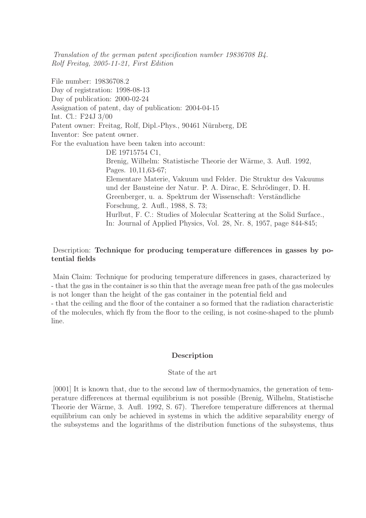Translation of the german patent specification number 19836708 B4. Rolf Freitag, 2005-11-21, First Edition

File number: 19836708.2 Day of registration: 1998-08-13 Day of publication: 2000-02-24 Assignation of patent, day of publication: 2004-04-15 Int. Cl.: F24J 3/00 Patent owner: Freitag, Rolf, Dipl.-Phys., 90461 Nürnberg, DE Inventor: See patent owner. For the evaluation have been taken into account: DE 19715754 C1, Brenig, Wilhelm: Statistische Theorie der Wärme, 3. Aufl. 1992, Pages. 10,11,63-67; Elementare Materie, Vakuum und Felder. Die Struktur des Vakuums und der Bausteine der Natur. P. A. Dirac, E. Schrödinger, D. H. Greenberger, u. a. Spektrum der Wissenschaft: Verständliche Forschung, 2. Aufl., 1988, S. 73; Hurlbut, F. C.: Studies of Molecular Scattering at the Solid Surface., In: Journal of Applied Physics, Vol. 28, Nr. 8, 1957, page 844-845;

# Description: Technique for producing temperature differences in gasses by potential fields

Main Claim: Technique for producing temperature differences in gases, characterized by - that the gas in the container is so thin that the average mean free path of the gas molecules is not longer than the height of the gas container in the potential field and - that the ceiling and the floor of the container a so formed that the radiation characteristic of the molecules, which fly from the floor to the ceiling, is not cosine-shaped to the plumb line.

## Description

## State of the art

[0001] It is known that, due to the second law of thermodynamics, the generation of temperature differences at thermal equilibrium is not possible (Brenig, Wilhelm, Statistische Theorie der Wärme, 3. Aufl. 1992, S. 67). Therefore temperature differences at thermal equilibrium can only be achieved in systems in which the additive separability energy of the subsystems and the logarithms of the distribution functions of the subsystems, thus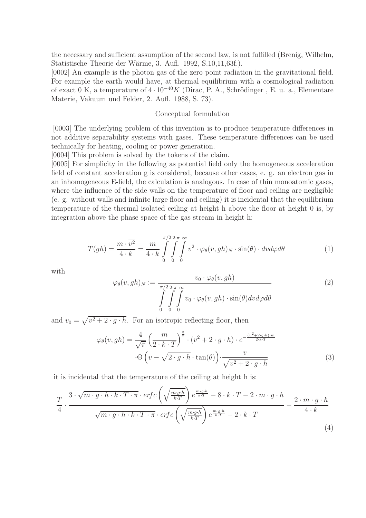the necessary and sufficient assumption of the second law, is not fulfilled (Brenig, Wilhelm, Statistische Theorie der Wärme, 3. Aufl. 1992, S.10,11,63f.).

[0002] An example is the photon gas of the zero point radiation in the gravitational field. For example the earth would have, at thermal equilibrium with a cosmological radiation of exact 0 K, a temperature of  $4 \cdot 10^{-40} K$  (Dirac, P. A., Schrödinger, E. u. a., Elementare Materie, Vakuum und Felder, 2. Aufl. 1988, S. 73).

#### Conceptual formulation

[0003] The underlying problem of this invention is to produce temperature differences in not additive separability systems with gases. These temperature differences can be used technically for heating, cooling or power generation.

[0004] This problem is solved by the tokens of the claim.

[0005] For simplicity in the following as potential field only the homogeneous acceleration field of constant acceleration g is considered, because other cases, e. g. an electron gas in an inhomogeneous E-field, the calculation is analogous. In case of thin monoatomic gases, where the influence of the side walls on the temperature of floor and ceiling are negligible (e. g. without walls and infinite large floor and ceiling) it is incidental that the equilibrium temperature of the thermal isolated ceiling at height h above the floor at height 0 is, by integration above the phase space of the gas stream in height h:

$$
T(gh) = \frac{m \cdot \overline{v^2}}{4 \cdot k} = \frac{m}{4 \cdot k} \int_{0}^{\pi/2} \int_{0}^{2\pi} \int_{0}^{\infty} v^2 \cdot \varphi_{\theta}(v, gh)_N \cdot \sin(\theta) \cdot dv d\varphi d\theta
$$
 (1)

with

$$
\varphi_{\theta}(v, gh)_N := \frac{v_0 \cdot \varphi_{\theta}(v, gh)}{\int_{0}^{\pi/2} \int_{0}^{\infty} v_0 \cdot \varphi_{\theta}(v, gh) \cdot \sin(\theta) dv d\varphi d\theta}
$$
\n
$$
(2)
$$

and  $v_0 = \sqrt{v^2 + 2 \cdot g \cdot h}$ . For an isotropic reflecting floor, then

$$
\varphi_{\theta}(v, gh) = \frac{4}{\sqrt{\pi}} \left( \frac{m}{2 \cdot k \cdot T} \right)^{\frac{3}{2}} \cdot (v^2 + 2 \cdot g \cdot h) \cdot e^{-\frac{(v^2 + 2 \cdot g \cdot h) \cdot m}{2 \cdot k \cdot T}}
$$

$$
\cdot \Theta \left( v - \sqrt{2 \cdot g \cdot h} \cdot \tan(\theta) \right) \cdot \frac{v}{\sqrt{v^2 + 2 \cdot g \cdot h}}
$$
(3)

it is incidental that the temperature of the ceiling at height h is:

$$
\frac{T}{4} \cdot \frac{3 \cdot \sqrt{m \cdot g \cdot h \cdot k \cdot T \cdot \pi} \cdot \text{erfc}\left(\sqrt{\frac{m \cdot g \cdot h}{k \cdot T}}\right) e^{\frac{m \cdot g \cdot h}{k \cdot T}} - 8 \cdot k \cdot T - 2 \cdot m \cdot g \cdot h}{\sqrt{m \cdot g \cdot h \cdot k \cdot T \cdot \pi} \cdot \text{erfc}\left(\sqrt{\frac{m \cdot g \cdot h}{k \cdot T}}\right) e^{\frac{m \cdot g \cdot h}{k \cdot T}} - 2 \cdot k \cdot T} - \frac{2 \cdot m \cdot g \cdot h}{4 \cdot k} \tag{4}
$$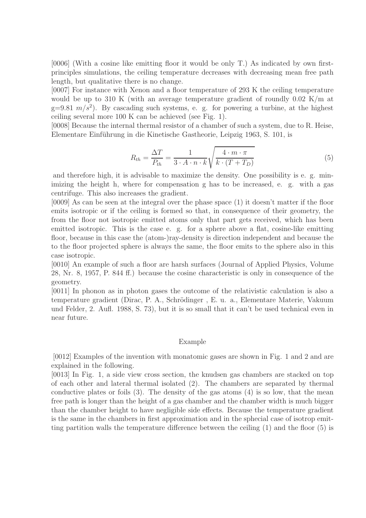[0006] (With a cosine like emitting floor it would be only T.) As indicated by own firstprinciples simulations, the ceiling temperature decreases with decreasing mean free path length, but qualitative there is no change.

[0007] For instance with Xenon and a floor temperature of 293 K the ceiling temperature would be up to 310 K (with an average temperature gradient of roundly 0.02 K/m at  $g=9.81 \, m/s^2$ ). By cascading such systems, e. g. for powering a turbine, at the highest ceiling several more 100 K can be achieved (see Fig. 1).

[0008] Because the internal thermal resistor of a chamber of such a system, due to R. Heise, Elementare Einführung in die Kinetische Gastheorie, Leipzig 1963, S. 101, is

$$
R_{th} = \frac{\Delta T}{P_{th}} = \frac{1}{3 \cdot A \cdot n \cdot k} \sqrt{\frac{4 \cdot m \cdot \pi}{k \cdot (T + T_D)}}
$$
(5)

and therefore high, it is advisable to maximize the density. One possibility is e. g. minimizing the height h, where for compensation g has to be increased, e. g. with a gas centrifuge. This also increases the gradient.

[0009] As can be seen at the integral over the phase space (1) it doesn't matter if the floor emits isotropic or if the ceiling is formed so that, in consequence of their geometry, the from the floor not isotropic emitted atoms only that part gets received, which has been emitted isotropic. This is the case e. g. for a sphere above a flat, cosine-like emitting floor, because in this case the (atom-)ray-density is direction independent and because the to the floor projected sphere is always the same, the floor emits to the sphere also in this case isotropic.

[0010] An example of such a floor are harsh surfaces (Journal of Applied Physics, Volume 28, Nr. 8, 1957, P. 844 ff.) because the cosine characteristic is only in consequence of the geometry.

[0011] In phonon as in photon gases the outcome of the relativistic calculation is also a temperature gradient (Dirac, P. A., Schrödinger, E. u. a., Elementare Materie, Vakuum und Felder, 2. Aufl. 1988, S. 73), but it is so small that it can't be used technical even in near future.

#### Example

[0012] Examples of the invention with monatomic gases are shown in Fig. 1 and 2 and are explained in the following.

[0013] In Fig. 1, a side view cross section, the knudsen gas chambers are stacked on top of each other and lateral thermal isolated (2). The chambers are separated by thermal conductive plates or foils  $(3)$ . The density of the gas atoms  $(4)$  is so low, that the mean free path is longer than the height of a gas chamber and the chamber width is much bigger than the chamber height to have negligible side effects. Because the temperature gradient is the same in the chambers in first approximation and in the sphecial case of isotrop emitting partition walls the temperature difference between the ceiling  $(1)$  and the floor  $(5)$  is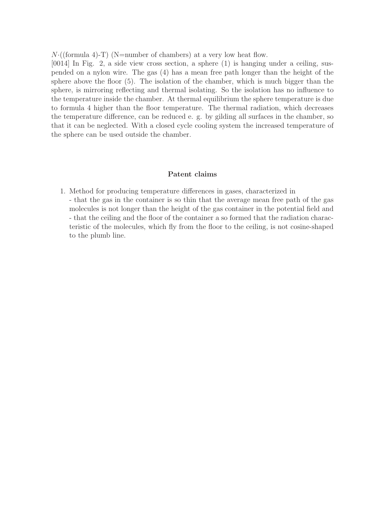$N \cdot ((\text{formula } 4) - T)$  (N=number of chambers) at a very low heat flow.

[0014] In Fig. 2, a side view cross section, a sphere (1) is hanging under a ceiling, suspended on a nylon wire. The gas (4) has a mean free path longer than the height of the sphere above the floor (5). The isolation of the chamber, which is much bigger than the sphere, is mirroring reflecting and thermal isolating. So the isolation has no influence to the temperature inside the chamber. At thermal equilibrium the sphere temperature is due to formula 4 higher than the floor temperature. The thermal radiation, which decreases the temperature difference, can be reduced e. g. by gilding all surfaces in the chamber, so that it can be neglected. With a closed cycle cooling system the increased temperature of the sphere can be used outside the chamber.

### Patent claims

1. Method for producing temperature differences in gases, characterized in - that the gas in the container is so thin that the average mean free path of the gas molecules is not longer than the height of the gas container in the potential field and - that the ceiling and the floor of the container a so formed that the radiation characteristic of the molecules, which fly from the floor to the ceiling, is not cosine-shaped to the plumb line.